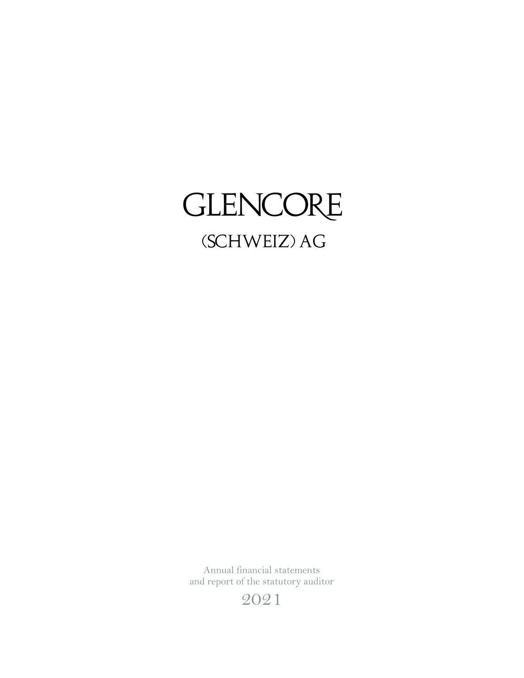# GLENCORE (SCHWEIZ) AG

Annual financial statements and report of the statutory auditor

2021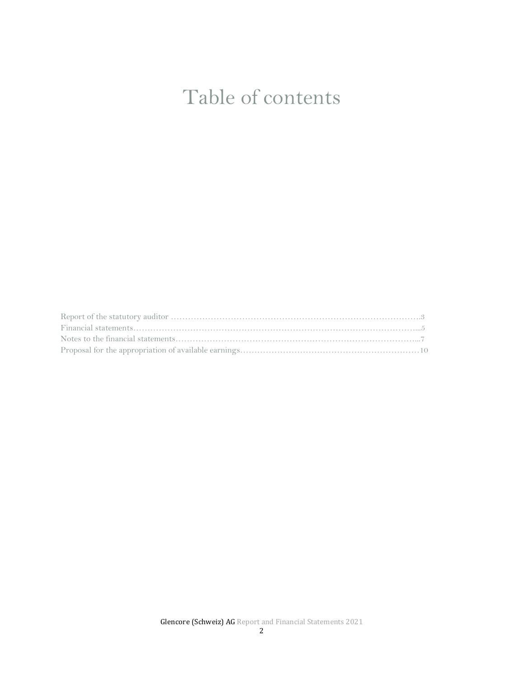# Table of contents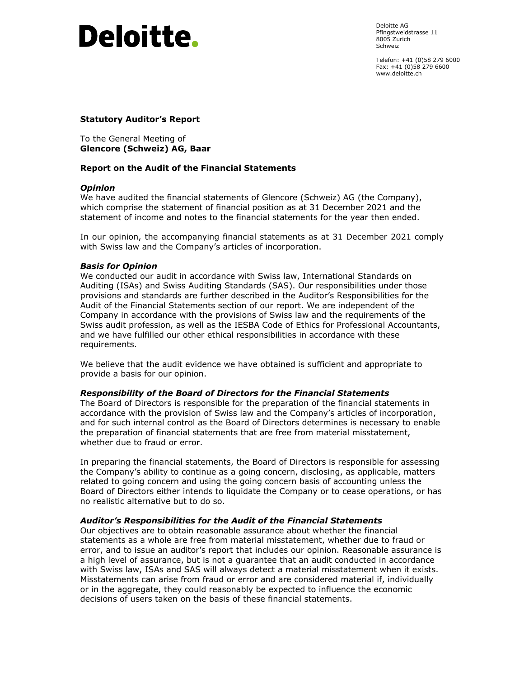# **Deloitte.**

Deloitte AG Pfingstweidstrasse 11 8005 Zurich Schweiz

Telefon: +41 (0)58 279 6000 Fax: +41 (0)58 279 6600 www.deloitte.ch

# **Statutory Auditor's Report**

To the General Meeting of **Glencore (Schweiz) AG, Baar** 

## **Report on the Audit of the Financial Statements**

### *Opinion*

We have audited the financial statements of Glencore (Schweiz) AG (the Company), which comprise the statement of financial position as at 31 December 2021 and the statement of income and notes to the financial statements for the year then ended.

In our opinion, the accompanying financial statements as at 31 December 2021 comply with Swiss law and the Company's articles of incorporation.

## *Basis for Opinion*

We conducted our audit in accordance with Swiss law, International Standards on Auditing (ISAs) and Swiss Auditing Standards (SAS). Our responsibilities under those provisions and standards are further described in the Auditor's Responsibilities for the Audit of the Financial Statements section of our report. We are independent of the Company in accordance with the provisions of Swiss law and the requirements of the Swiss audit profession, as well as the IESBA Code of Ethics for Professional Accountants, and we have fulfilled our other ethical responsibilities in accordance with these requirements.

We believe that the audit evidence we have obtained is sufficient and appropriate to provide a basis for our opinion.

### *Responsibility of the Board of Directors for the Financial Statements*

The Board of Directors is responsible for the preparation of the financial statements in accordance with the provision of Swiss law and the Company's articles of incorporation, and for such internal control as the Board of Directors determines is necessary to enable the preparation of financial statements that are free from material misstatement, whether due to fraud or error.

In preparing the financial statements, the Board of Directors is responsible for assessing the Company's ability to continue as a going concern, disclosing, as applicable, matters related to going concern and using the going concern basis of accounting unless the Board of Directors either intends to liquidate the Company or to cease operations, or has no realistic alternative but to do so.

### *Auditor's Responsibilities for the Audit of the Financial Statements*

Our objectives are to obtain reasonable assurance about whether the financial statements as a whole are free from material misstatement, whether due to fraud or error, and to issue an auditor's report that includes our opinion. Reasonable assurance is a high level of assurance, but is not a guarantee that an audit conducted in accordance with Swiss law, ISAs and SAS will always detect a material misstatement when it exists. Misstatements can arise from fraud or error and are considered material if, individually or in the aggregate, they could reasonably be expected to influence the economic decisions of users taken on the basis of these financial statements.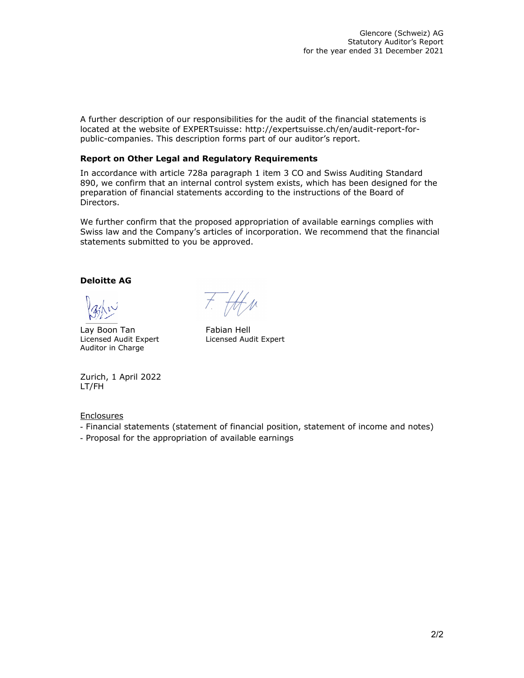A further description of our responsibilities for the audit of the financial statements is located at the website of EXPERTsuisse: http://expertsuisse.ch/en/audit-report-forpublic-companies. This description forms part of our auditor's report.

### **Report on Other Legal and Regulatory Requirements**

In accordance with article 728a paragraph 1 item 3 CO and Swiss Auditing Standard 890, we confirm that an internal control system exists, which has been designed for the preparation of financial statements according to the instructions of the Board of Directors.

We further confirm that the proposed appropriation of available earnings complies with Swiss law and the Company's articles of incorporation. We recommend that the financial statements submitted to you be approved.

# **Deloitte AG**

Vahn

Lay Boon Tan Fabian Hell Auditor in Charge

 $t.$  HAN

Licensed Audit Expert Licensed Audit Expert

Zurich, 1 April 2022 LT/FH

**Enclosures** 

- Financial statements (statement of financial position, statement of income and notes)
- Proposal for the appropriation of available earnings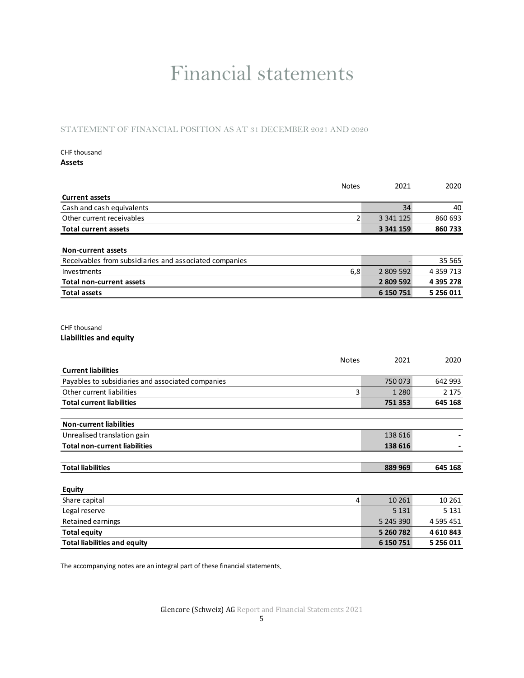# Financial statements

STATEMENT OF FINANCIAL POSITION AS AT 31 DECEMBER 2021 AND 2020

# CHF thousand

**Assets**

|                                                        | <b>Notes</b>   | 2021      | 2020          |
|--------------------------------------------------------|----------------|-----------|---------------|
| <b>Current assets</b>                                  |                |           |               |
| Cash and cash equivalents                              |                | 34        | 40            |
| Other current receivables                              | $\overline{2}$ | 3 341 125 | 860 693       |
| <b>Total current assets</b>                            |                | 3 341 159 | 860 733       |
| Non-current assets                                     |                |           |               |
| Receivables from subsidiaries and associated companies |                |           | 35 565        |
| Investments                                            | 6,8            | 2 809 592 | 4 3 5 9 7 1 3 |
| <b>Total non-current assets</b>                        |                | 2 809 592 | 4 395 278     |
| <b>Total assets</b>                                    |                | 6 150 751 | 5 256 011     |
| CHF thousand<br><b>Liabilities and equity</b>          |                |           |               |
| <b>Current liabilities</b>                             | <b>Notes</b>   | 2021      | 2020          |
| Payables to subsidiaries and associated companies      |                | 750 073   | 642 993       |
| Other current liabilities                              | 3              | 1 2 8 0   | 2 1 7 5       |
| <b>Total current liabilities</b>                       |                | 751353    | 645 168       |
| <b>Non-current liabilities</b>                         |                |           |               |
| Unrealised translation gain                            |                | 138 616   |               |
| <b>Total non-current liabilities</b>                   |                | 138 616   |               |
| <b>Total liabilities</b>                               |                | 889 969   | 645 168       |
| Equity                                                 |                |           |               |
| Share capital                                          | $\overline{4}$ | 10 26 1   | 10 26 1       |
| Legal reserve                                          |                | 5 1 3 1   | 5 1 3 1       |
| Retained earnings                                      |                | 5 245 390 | 4 5 9 5 4 5 1 |
| <b>Total equity</b>                                    |                | 5 260 782 | 4610843       |
| <b>Total liabilities and equity</b>                    |                | 6 150 751 | 5 256 011     |

The accompanying notes are an integral part of these financial statements.

Glencore (Schweiz) AG Report and Financial Statements 2021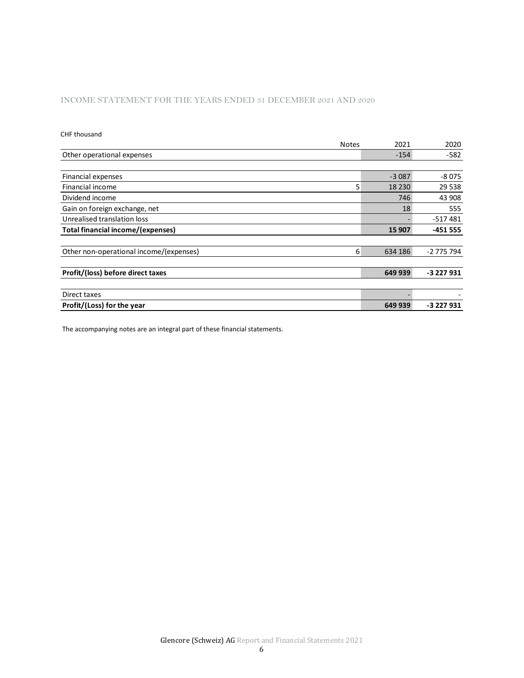## INCOME STATEMENT FOR THE YEARS ENDED 31 DECEMBER 2021 AND 2020

#### CHF thousand

| <b>Notes</b>                            | 2021         | 2020       |
|-----------------------------------------|--------------|------------|
| Other operational expenses              | $-154$       | $-582$     |
|                                         |              |            |
| Financial expenses                      | $-3087$      | $-8075$    |
| Financial income                        | 5<br>18 2 30 | 29 5 38    |
| Dividend income                         | 746          | 43 908     |
| Gain on foreign exchange, net           | 18           | 555        |
| Unrealised translation loss             |              | $-517481$  |
| Total financial income/(expenses)       | 15 907       | $-451555$  |
|                                         |              |            |
| Other non-operational income/(expenses) | 634 186<br>6 | -2 775 794 |
|                                         |              |            |
| Profit/(loss) before direct taxes       | 649 939      | -3 227 931 |
|                                         |              |            |
| Direct taxes                            |              |            |
| Profit/(Loss) for the year              | 649 939      | -3 227 931 |

The accompanying notes are an integral part of these financial statements.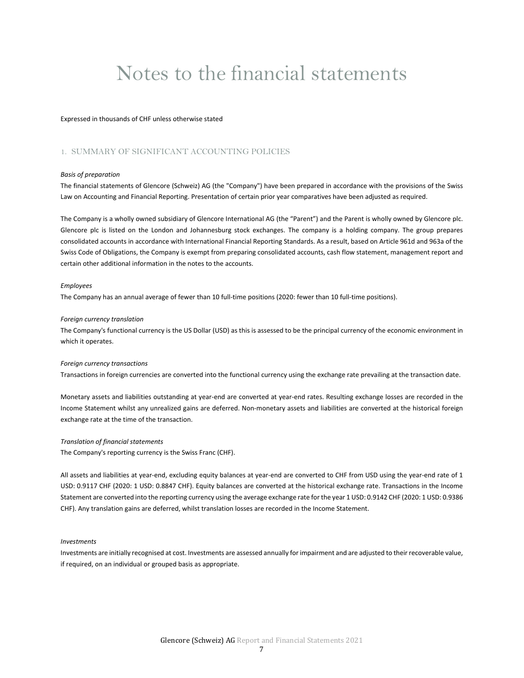# Notes to the financial statements

Expressed in thousands of CHF unless otherwise stated

### 1. SUMMARY OF SIGNIFICANT ACCOUNTING POLICIES

#### *Basis of preparation*

The financial statements of Glencore (Schweiz) AG (the "Company") have been prepared in accordance with the provisions of the Swiss Law on Accounting and Financial Reporting. Presentation of certain prior year comparatives have been adjusted as required.

The Company is a wholly owned subsidiary of Glencore International AG (the "Parent") and the Parent is wholly owned by Glencore plc. Glencore plc is listed on the London and Johannesburg stock exchanges. The company is a holding company. The group prepares consolidated accounts in accordance with International Financial Reporting Standards. As a result, based on Article 961d and 963a of the Swiss Code of Obligations, the Company is exempt from preparing consolidated accounts, cash flow statement, management report and certain other additional information in the notes to the accounts.

#### *Employees*

The Company has an annual average of fewer than 10 full‐time positions (2020: fewer than 10 full‐time positions).

#### *Foreign currency translation*

The Company's functional currency is the US Dollar (USD) as this is assessed to be the principal currency of the economic environment in which it operates.

#### *Foreign currency transactions*

Transactions in foreign currencies are converted into the functional currency using the exchange rate prevailing at the transaction date.

Monetary assets and liabilities outstanding at year‐end are converted at year‐end rates. Resulting exchange losses are recorded in the Income Statement whilst any unrealized gains are deferred. Non‐monetary assets and liabilities are converted at the historical foreign exchange rate at the time of the transaction.

#### *Translation of financial statements*

The Company's reporting currency is the Swiss Franc (CHF).

All assets and liabilities at year‐end, excluding equity balances at year‐end are converted to CHF from USD using the year‐end rate of 1 USD: 0.9117 CHF (2020: 1 USD: 0.8847 CHF). Equity balances are converted at the historical exchange rate. Transactions in the Income Statement are converted into the reporting currency using the average exchange rate for the year 1 USD: 0.9142 CHF (2020: 1 USD: 0.9386 CHF). Any translation gains are deferred, whilst translation losses are recorded in the Income Statement.

#### *Investments*

Investments are initially recognised at cost. Investments are assessed annually for impairment and are adjusted to their recoverable value, if required, on an individual or grouped basis as appropriate.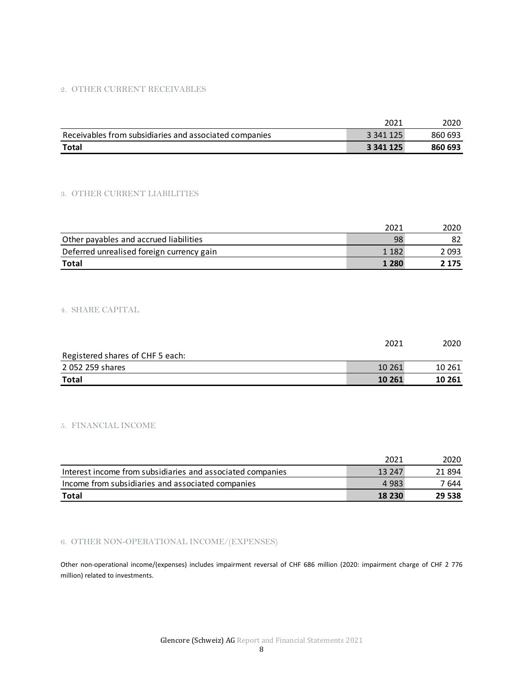# 2. OTHER CURRENT RECEIVABLES

|                                                        | 2021      | 2020    |
|--------------------------------------------------------|-----------|---------|
| Receivables from subsidiaries and associated companies | 3 341 125 | 860 693 |
| <b>Total</b>                                           | 3 341 125 | 860 693 |

### 3. OTHER CURRENT LIABILITIES

|                                           | 2021    | 2020  |
|-------------------------------------------|---------|-------|
| Other payables and accrued liabilities    | 98      |       |
| Deferred unrealised foreign currency gain | 1 1 8 2 | 2 093 |
| <b>Total</b>                              | 1 2 8 0 | 2 175 |

#### 4. SHARE CAPITAL

|                                  | 2021   | 2020   |
|----------------------------------|--------|--------|
| Registered shares of CHF 5 each: |        |        |
| 2 052 259 shares                 | 10 261 | 10 261 |
| Total                            | 10 261 | 10 261 |

#### 5. FINANCIAL INCOME

|                                                            | 2021    | 2020   |
|------------------------------------------------------------|---------|--------|
| Interest income from subsidiaries and associated companies | 13 247  | 21894  |
| Income from subsidiaries and associated companies          | 4 9 8 3 | 7 644  |
| Total                                                      | 18 230  | 29 538 |

# 6. OTHER NON-OPERATIONAL INCOME/(EXPENSES)

Other non-operational income/(expenses) includes impairment reversal of CHF 686 million (2020: impairment charge of CHF 2 776 million) related to investments.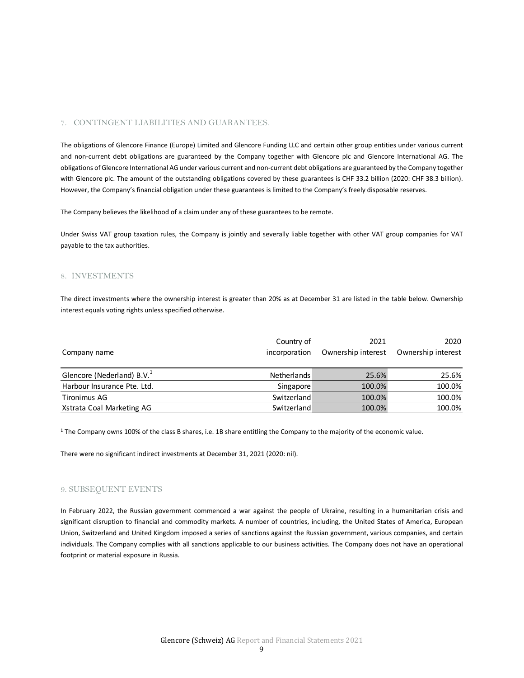### 7. CONTINGENT LIABILITIES AND GUARANTEES.

The obligations of Glencore Finance (Europe) Limited and Glencore Funding LLC and certain other group entities under various current and non-current debt obligations are guaranteed by the Company together with Glencore plc and Glencore International AG. The obligations of Glencore International AG under various current and non‐current debt obligations are guaranteed by the Company together with Glencore plc. The amount of the outstanding obligations covered by these guarantees is CHF 33.2 billion (2020: CHF 38.3 billion). However, the Company's financial obligation under these guarantees is limited to the Company's freely disposable reserves.

The Company believes the likelihood of a claim under any of these guarantees to be remote.

Under Swiss VAT group taxation rules, the Company is jointly and severally liable together with other VAT group companies for VAT payable to the tax authorities.

#### 8. INVESTMENTS

The direct investments where the ownership interest is greater than 20% as at December 31 are listed in the table below. Ownership interest equals voting rights unless specified otherwise.

|                                        | Country of    | 2021               | 2020               |
|----------------------------------------|---------------|--------------------|--------------------|
| Company name                           | incorporation | Ownership interest | Ownership interest |
|                                        |               |                    |                    |
| Glencore (Nederland) B.V. <sup>1</sup> | Netherlands   | 25.6%              | 25.6%              |
| Harbour Insurance Pte. Ltd.            | Singapore     | 100.0%             | 100.0%             |
| Tironimus AG                           | Switzerland   | 100.0%             | 100.0%             |
| Xstrata Coal Marketing AG              | Switzerland   | 100.0%             | 100.0%             |

 $1$  The Company owns 100% of the class B shares, i.e. 1B share entitling the Company to the majority of the economic value.

There were no significant indirect investments at December 31, 2021 (2020: nil).

#### 9. SUBSEQUENT EVENTS

In February 2022, the Russian government commenced a war against the people of Ukraine, resulting in a humanitarian crisis and significant disruption to financial and commodity markets. A number of countries, including, the United States of America, European Union, Switzerland and United Kingdom imposed a series of sanctions against the Russian government, various companies, and certain individuals. The Company complies with all sanctions applicable to our business activities. The Company does not have an operational footprint or material exposure in Russia.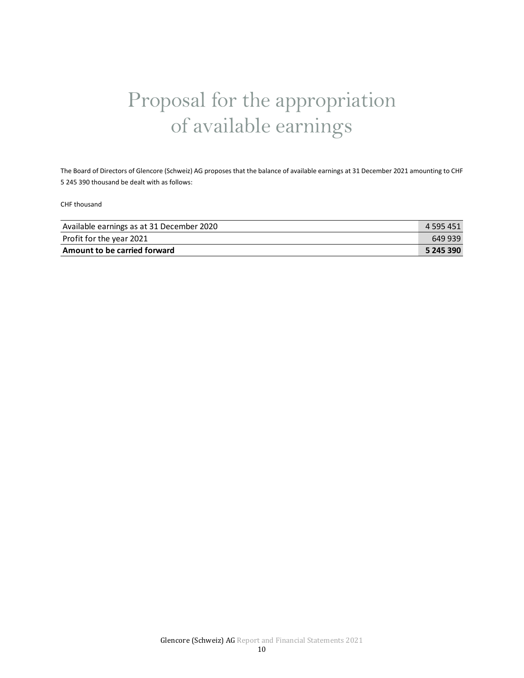# Proposal for the appropriation of available earnings

The Board of Directors of Glencore (Schweiz) AG proposes that the balance of available earnings at 31 December 2021 amounting to CHF 5 245 390 thousand be dealt with as follows:

CHF thousand

| Available earnings as at 31 December 2020 | 4 595 451 |
|-------------------------------------------|-----------|
| Profit for the year 2021                  | 649 939   |
| Amount to be carried forward              | 5 245 390 |